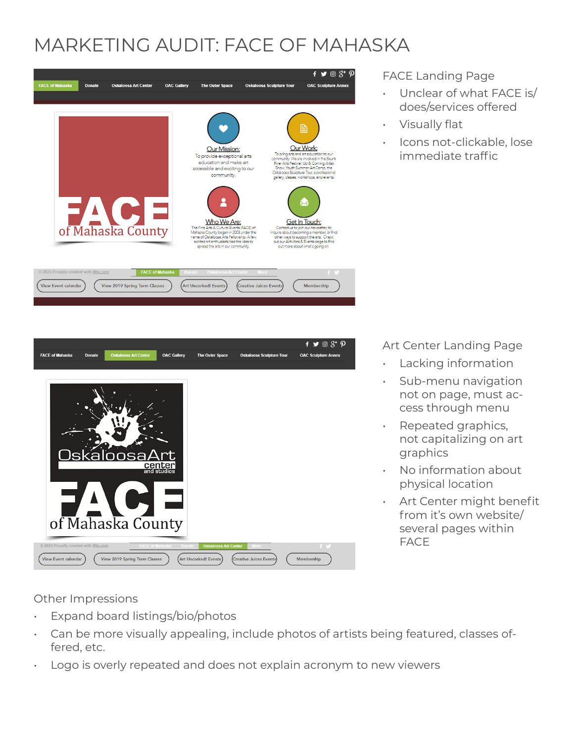## MARKETING AUDIT: FACE OF MAHASKA



 $f \triangleright \hspace*{-0.1cm} \blacksquare$ **OAC Gallery FACE of Mahaska The Outer Space** OAC Sculpture Ann lskaloosaA of Mahaska County View Event calenda View 2019 Spring Term Classes **Art Uncorked!** Events Creative Juices Ever Membership

FACE Landing Page

- Unclear of what FACE is/ does/services offered
- Visually flat
- Icons not-clickable, lose immediate traffic

Art Center Landing Page

- Lacking information
- Sub-menu navigation not on page, must access through menu
- Repeated graphics, not capitalizing on art graphics
- No information about physical location
- Art Center might benefit from it's own website/ several pages within FACE

Other Impressions

- Expand board listings/bio/photos
- Can be more visually appealing, include photos of artists being featured, classes offered, etc.
- Logo is overly repeated and does not explain acronym to new viewers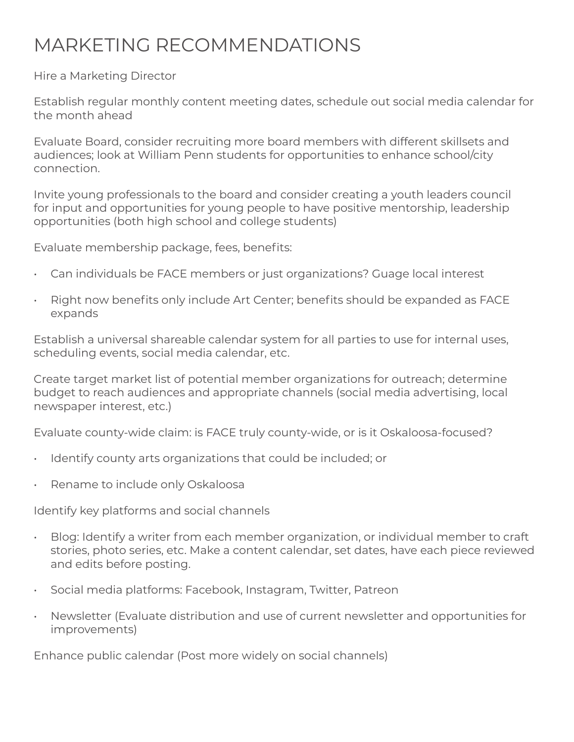## MARKETING RECOMMENDATIONS

Hire a Marketing Director

Establish regular monthly content meeting dates, schedule out social media calendar for the month ahead

Evaluate Board, consider recruiting more board members with different skillsets and audiences; look at William Penn students for opportunities to enhance school/city connection.

Invite young professionals to the board and consider creating a youth leaders council for input and opportunities for young people to have positive mentorship, leadership opportunities (both high school and college students)

Evaluate membership package, fees, benefits:

- Can individuals be FACE members or just organizations? Guage local interest
- Right now benefits only include Art Center; benefits should be expanded as FACE expands

Establish a universal shareable calendar system for all parties to use for internal uses, scheduling events, social media calendar, etc.

Create target market list of potential member organizations for outreach; determine budget to reach audiences and appropriate channels (social media advertising, local newspaper interest, etc.)

Evaluate county-wide claim: is FACE truly county-wide, or is it Oskaloosa-focused?

- Identify county arts organizations that could be included; or
- Rename to include only Oskaloosa

Identify key platforms and social channels

- Blog: Identify a writer from each member organization, or individual member to craft stories, photo series, etc. Make a content calendar, set dates, have each piece reviewed and edits before posting.
- Social media platforms: Facebook, Instagram, Twitter, Patreon
- Newsletter (Evaluate distribution and use of current newsletter and opportunities for improvements)

Enhance public calendar (Post more widely on social channels)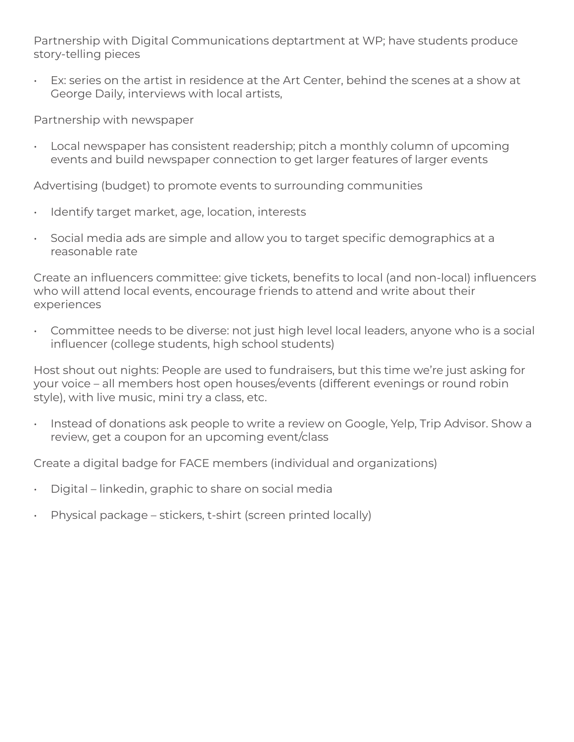Partnership with Digital Communications deptartment at WP; have students produce story-telling pieces

• Ex: series on the artist in residence at the Art Center, behind the scenes at a show at George Daily, interviews with local artists,

Partnership with newspaper

• Local newspaper has consistent readership; pitch a monthly column of upcoming events and build newspaper connection to get larger features of larger events

Advertising (budget) to promote events to surrounding communities

- Identify target market, age, location, interests
- Social media ads are simple and allow you to target specific demographics at a reasonable rate

Create an influencers committee: give tickets, benefits to local (and non-local) influencers who will attend local events, encourage friends to attend and write about their experiences

• Committee needs to be diverse: not just high level local leaders, anyone who is a social influencer (college students, high school students)

Host shout out nights: People are used to fundraisers, but this time we're just asking for your voice – all members host open houses/events (different evenings or round robin style), with live music, mini try a class, etc.

• Instead of donations ask people to write a review on Google, Yelp, Trip Advisor. Show a review, get a coupon for an upcoming event/class

Create a digital badge for FACE members (individual and organizations)

- Digital linkedin, graphic to share on social media
- Physical package stickers, t-shirt (screen printed locally)